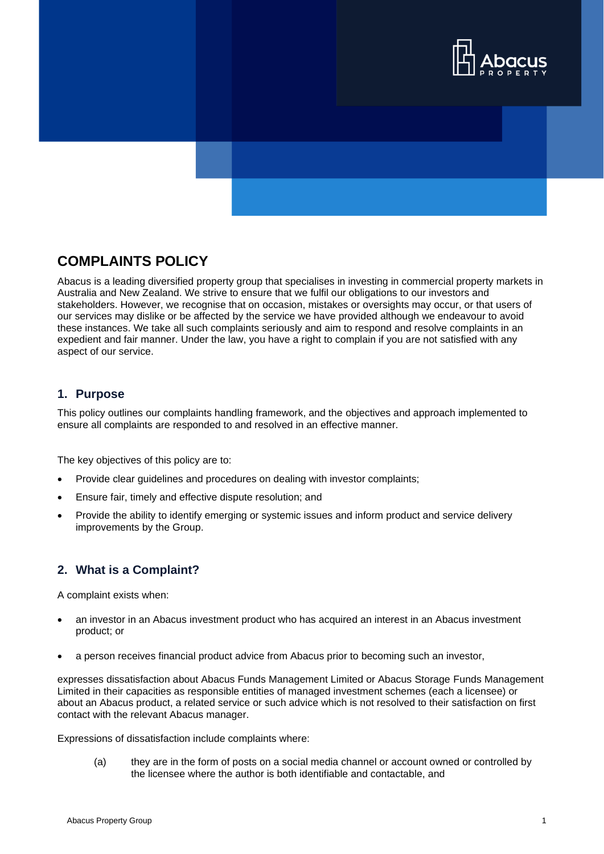

# **COMPLAINTS POLICY**

Abacus is a leading diversified property group that specialises in investing in commercial property markets in Australia and New Zealand. We strive to ensure that we fulfil our obligations to our investors and stakeholders. However, we recognise that on occasion, mistakes or oversights may occur, or that users of our services may dislike or be affected by the service we have provided although we endeavour to avoid these instances. We take all such complaints seriously and aim to respond and resolve complaints in an expedient and fair manner. Under the law, you have a right to complain if you are not satisfied with any aspect of our service.

## **1. Purpose**

This policy outlines our complaints handling framework, and the objectives and approach implemented to ensure all complaints are responded to and resolved in an effective manner.

The key objectives of this policy are to:

- Provide clear guidelines and procedures on dealing with investor complaints;
- Ensure fair, timely and effective dispute resolution; and
- Provide the ability to identify emerging or systemic issues and inform product and service delivery improvements by the Group.

## **2. What is a Complaint?**

A complaint exists when:

- an investor in an Abacus investment product who has acquired an interest in an Abacus investment product; or
- a person receives financial product advice from Abacus prior to becoming such an investor,

expresses dissatisfaction about Abacus Funds Management Limited or Abacus Storage Funds Management Limited in their capacities as responsible entities of managed investment schemes (each a licensee) or about an Abacus product, a related service or such advice which is not resolved to their satisfaction on first contact with the relevant Abacus manager.

Expressions of dissatisfaction include complaints where:

(a) they are in the form of posts on a social media channel or account owned or controlled by the licensee where the author is both identifiable and contactable, and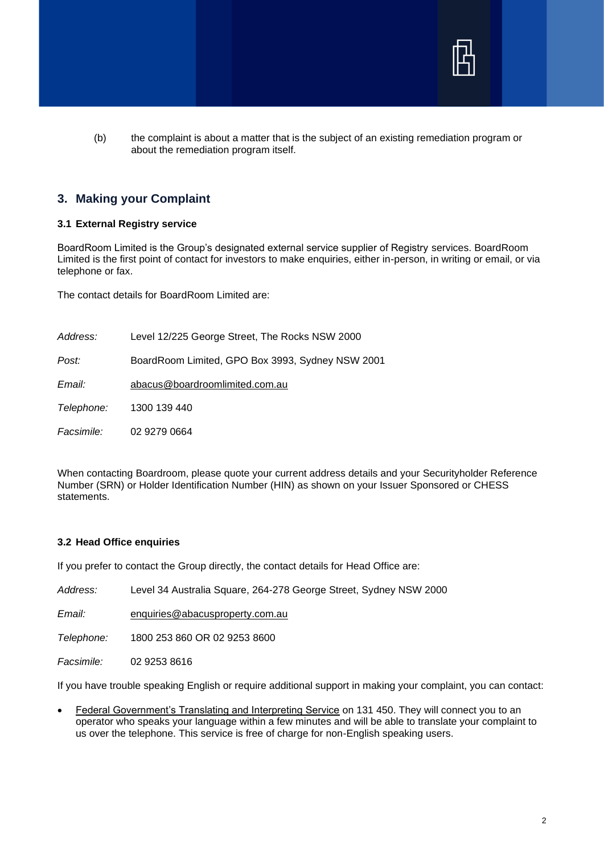

(b) the complaint is about a matter that is the subject of an existing remediation program or about the remediation program itself.

## **3. Making your Complaint**

### **3.1 External Registry service**

BoardRoom Limited is the Group's designated external service supplier of Registry services. BoardRoom Limited is the first point of contact for investors to make enquiries, either in-person, in writing or email, or via telephone or fax.

The contact details for BoardRoom Limited are:

*Address:* Level 12/225 George Street, The Rocks NSW 2000 *Post:* BoardRoom Limited, GPO Box 3993, Sydney NSW 2001 *Email:* [abacus@boardroomlimited.com.au](mailto:abacus@boardroomlimited.com.au) *Telephone:* 1300 139 440 *Facsimile:* 02 9279 0664

When contacting Boardroom, please quote your current address details and your Securityholder Reference Number (SRN) or Holder Identification Number (HIN) as shown on your Issuer Sponsored or CHESS statements.

## **3.2 Head Office enquiries**

If you prefer to contact the Group directly, the contact details for Head Office are:

*Address:* Level 34 Australia Square, 264-278 George Street, Sydney NSW 2000

*Email:* [enquiries@abacusproperty.com.au](mailto:enquiries@abacusproperty.com.au)

*Telephone:* 1800 253 860 OR 02 9253 8600

*Facsimile:* 02 9253 8616

If you have trouble speaking English or require additional support in making your complaint, you can contact:

• Federal Government's Translating and Interpreting Service on 131 450. They will connect you to an operator who speaks your language within a few minutes and will be able to translate your complaint to us over the telephone. This service is free of charge for non-English speaking users.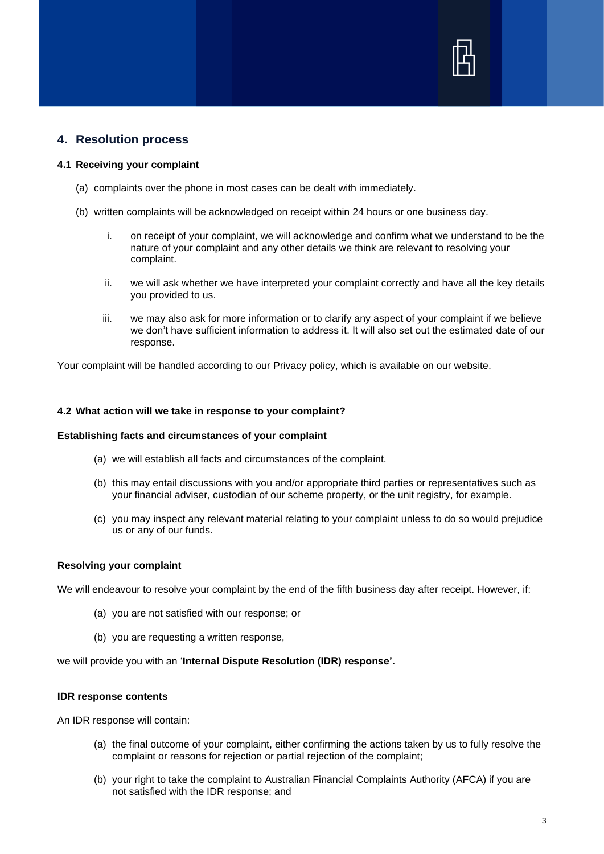

## **4. Resolution process**

#### **4.1 Receiving your complaint**

- (a) complaints over the phone in most cases can be dealt with immediately.
- (b) written complaints will be acknowledged on receipt within 24 hours or one business day.
	- i. on receipt of your complaint, we will acknowledge and confirm what we understand to be the nature of your complaint and any other details we think are relevant to resolving your complaint.
	- ii. we will ask whether we have interpreted your complaint correctly and have all the key details you provided to us.
	- iii. we may also ask for more information or to clarify any aspect of your complaint if we believe we don't have sufficient information to address it. It will also set out the estimated date of our response.

Your complaint will be handled according to our Privacy policy, which is available on our website.

#### **4.2 What action will we take in response to your complaint?**

#### **Establishing facts and circumstances of your complaint**

- (a) we will establish all facts and circumstances of the complaint.
- (b) this may entail discussions with you and/or appropriate third parties or representatives such as your financial adviser, custodian of our scheme property, or the unit registry, for example.
- (c) you may inspect any relevant material relating to your complaint unless to do so would prejudice us or any of our funds.

#### **Resolving your complaint**

We will endeavour to resolve your complaint by the end of the fifth business day after receipt. However, if:

- (a) you are not satisfied with our response; or
- (b) you are requesting a written response,

we will provide you with an '**Internal Dispute Resolution (IDR) response'.**

### **IDR response contents**

An IDR response will contain:

- (a) the final outcome of your complaint, either confirming the actions taken by us to fully resolve the complaint or reasons for rejection or partial rejection of the complaint;
- (b) your right to take the complaint to Australian Financial Complaints Authority (AFCA) if you are not satisfied with the IDR response; and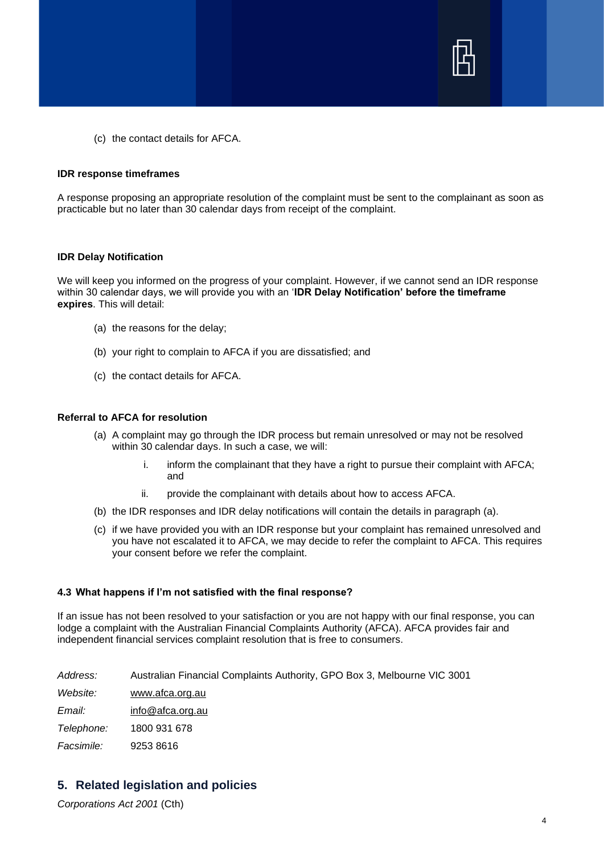

(c) the contact details for AFCA.

### **IDR response timeframes**

A response proposing an appropriate resolution of the complaint must be sent to the complainant as soon as practicable but no later than 30 calendar days from receipt of the complaint.

#### **IDR Delay Notification**

We will keep you informed on the progress of your complaint. However, if we cannot send an IDR response within 30 calendar days, we will provide you with an '**IDR Delay Notification' before the timeframe expires**. This will detail:

- (a) the reasons for the delay;
- (b) your right to complain to AFCA if you are dissatisfied; and
- (c) the contact details for AFCA.

### **Referral to AFCA for resolution**

- (a) A complaint may go through the IDR process but remain unresolved or may not be resolved within 30 calendar days. In such a case, we will:
	- i. inform the complainant that they have a right to pursue their complaint with AFCA; and
	- ii. provide the complainant with details about how to access AFCA.
- (b) the IDR responses and IDR delay notifications will contain the details in paragraph (a).
- (c) if we have provided you with an IDR response but your complaint has remained unresolved and you have not escalated it to AFCA, we may decide to refer the complaint to AFCA. This requires your consent before we refer the complaint.

## **4.3 What happens if I'm not satisfied with the final response?**

If an issue has not been resolved to your satisfaction or you are not happy with our final response, you can lodge a complaint with the Australian Financial Complaints Authority (AFCA). AFCA provides fair and independent financial services complaint resolution that is free to consumers.

*Address:* Australian Financial Complaints Authority, GPO Box 3, Melbourne VIC 3001

*Website:* [www.afca.org.au](http://www.afca.org.au/)

*Email:* [info@afca.org.au](mailto:info@afca.org.au)

*Telephone:* 1800 931 678

*Facsimile:* 9253 8616

## **5. Related legislation and policies**

*Corporations Act 2001* (Cth)